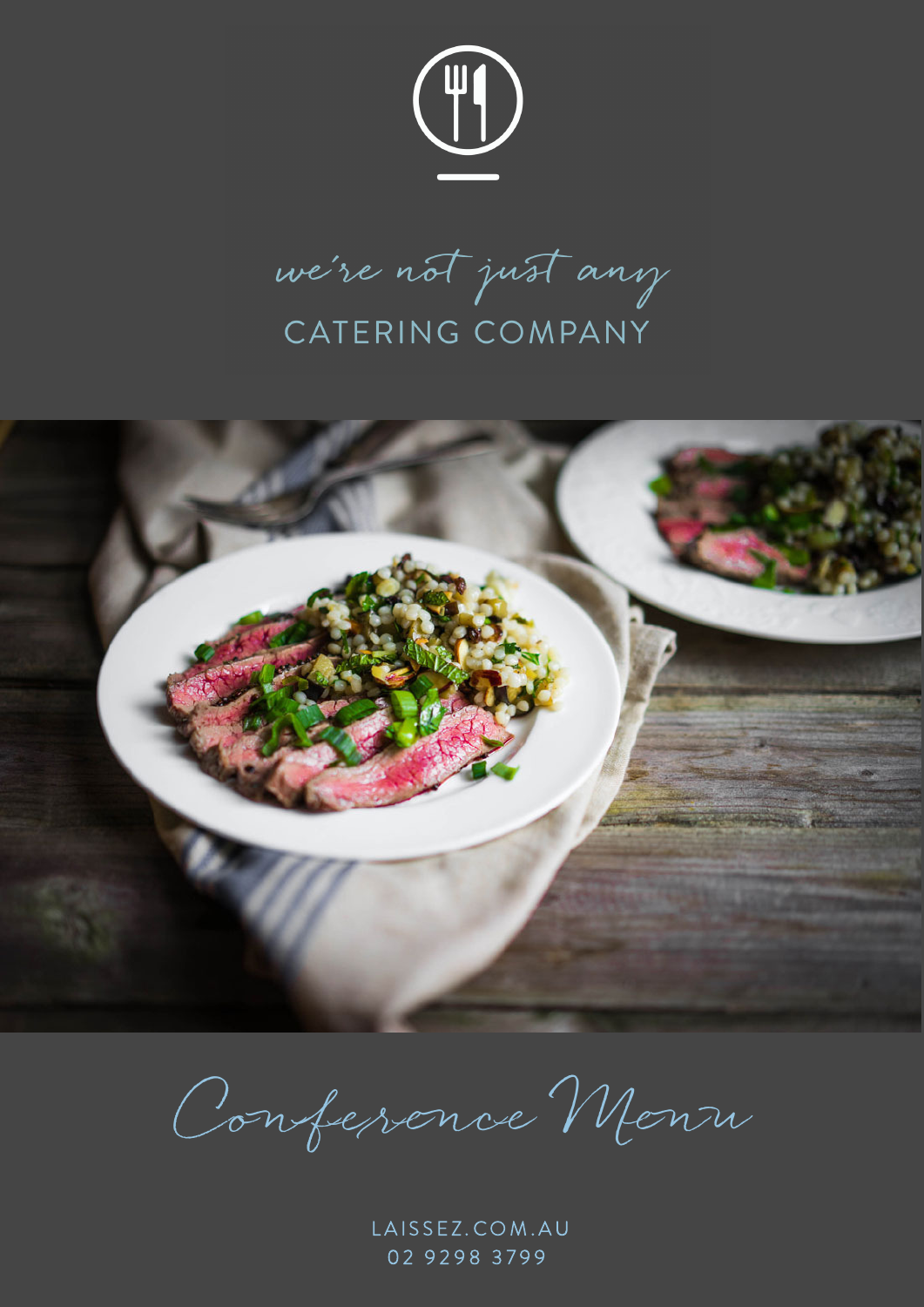

we're not just any CATERING COMPANY



Confessence Mensu

LAISSEZ.COM.AU 02 9298 3799